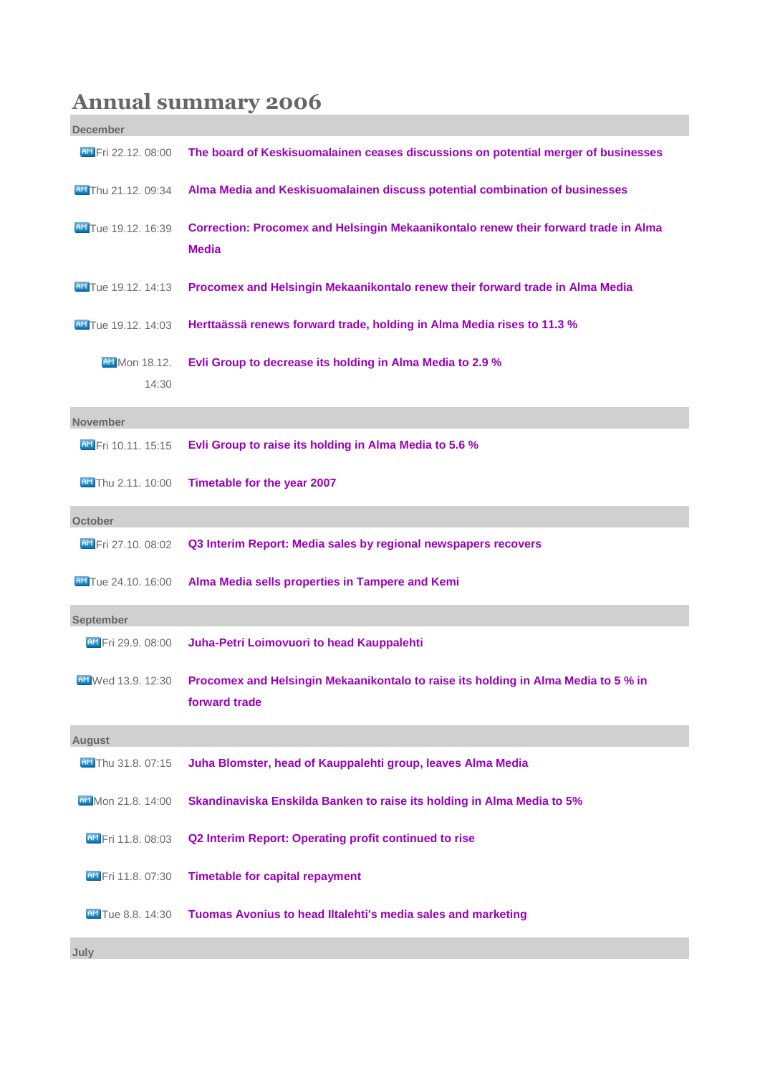## **Annual summary 2006**

| <b>December</b>               |                                                                                                     |
|-------------------------------|-----------------------------------------------------------------------------------------------------|
| <b>BM</b> Fri 22.12, 08:00    | The board of Keskisuomalainen ceases discussions on potential merger of businesses                  |
| AM Thu 21.12, 09:34           | Alma Media and Keskisuomalainen discuss potential combination of businesses                         |
| <b>AM</b> Tue 19.12, 16:39    | Correction: Procomex and Helsingin Mekaanikontalo renew their forward trade in Alma<br><b>Media</b> |
| <b>AM</b> Tue 19.12, 14:13    | Procomex and Helsingin Mekaanikontalo renew their forward trade in Alma Media                       |
| <b>AM</b> Tue 19.12, 14:03    | Herttaässä renews forward trade, holding in Alma Media rises to 11.3 %                              |
| <b>BM</b> Mon 18.12.<br>14:30 | Evli Group to decrease its holding in Alma Media to 2.9 %                                           |
| <b>November</b>               |                                                                                                     |
| <b>AM</b> Fri 10.11. 15:15    | Evli Group to raise its holding in Alma Media to 5.6 %                                              |
| <b>AM</b> Thu 2.11. 10:00     | Timetable for the year 2007                                                                         |
| October                       |                                                                                                     |
| <b>BM</b> Fri 27.10, 08:02    | Q3 Interim Report: Media sales by regional newspapers recovers                                      |
| <b>AM</b> Tue 24.10. 16:00    | Alma Media sells properties in Tampere and Kemi                                                     |
| September                     |                                                                                                     |
| AM Fri 29.9. 08:00            | Juha-Petri Loimovuori to head Kauppalehti                                                           |
| <b>AM</b> Wed 13.9. 12:30     | Procomex and Helsingin Mekaanikontalo to raise its holding in Alma Media to 5 % in<br>forward trade |
| <b>August</b>                 |                                                                                                     |
| AM Thu 31.8. 07:15            | Juha Blomster, head of Kauppalehti group, leaves Alma Media                                         |
| AM Mon 21.8. 14:00            | Skandinaviska Enskilda Banken to raise its holding in Alma Media to 5%                              |
| <b>AM</b> Fri 11.8. 08:03     | Q2 Interim Report: Operating profit continued to rise                                               |
| <b>AM</b> Fri 11.8. 07:30     | <b>Timetable for capital repayment</b>                                                              |
| <b>AM</b> Tue 8.8. 14:30      | Tuomas Avonius to head Iltalehti's media sales and marketing                                        |

**July**